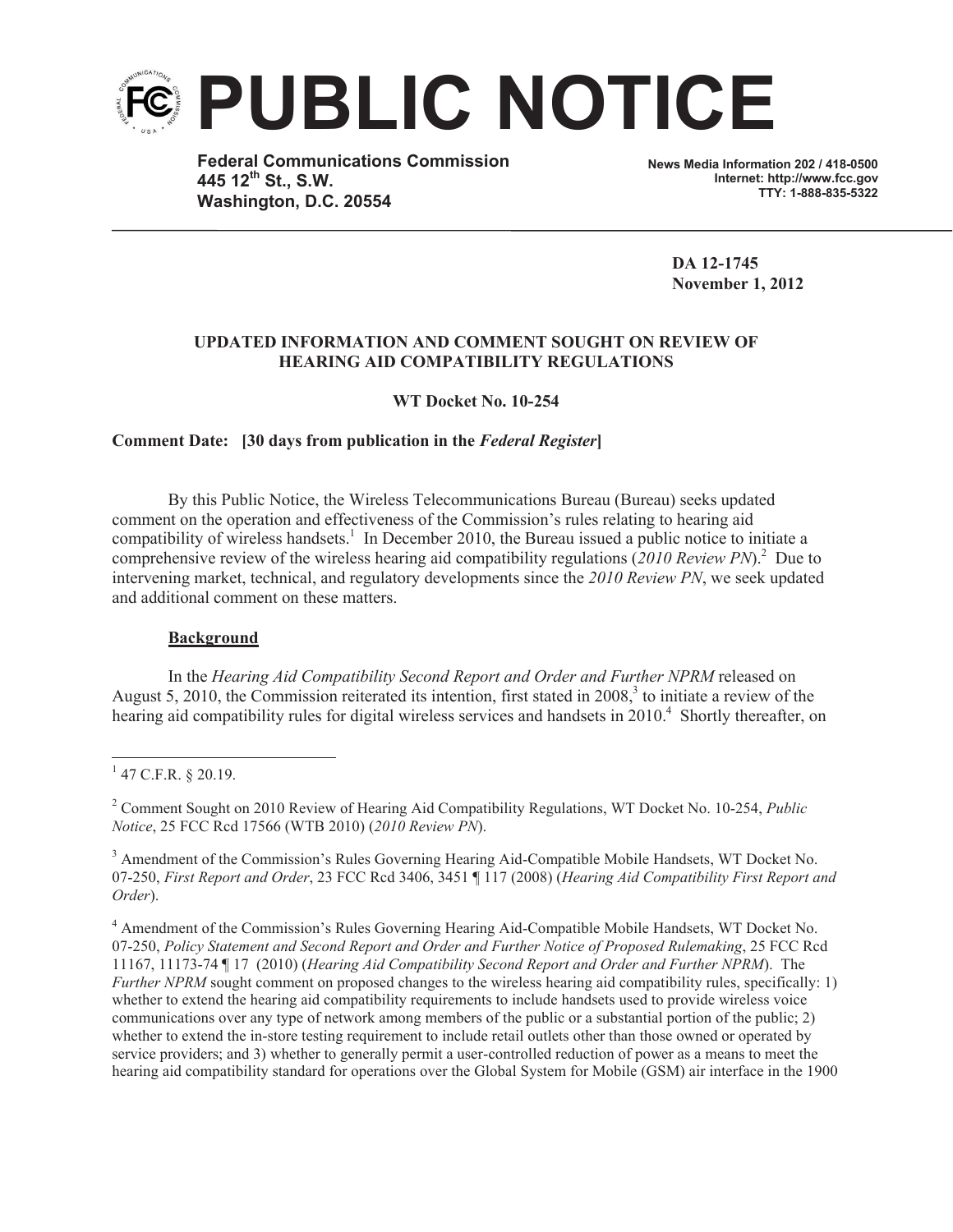

**Federal Communications Commission 445 12th St., S.W. Washington, D.C. 20554**

**News Media Information 202 / 418-0500 Internet: http://www.fcc.gov TTY: 1-888-835-5322**

**DA 12-1745 November 1, 2012**

## **UPDATED INFORMATION AND COMMENT SOUGHT ON REVIEW OF HEARING AID COMPATIBILITY REGULATIONS**

**WT Docket No. 10-254**

**Comment Date: [30 days from publication in the** *Federal Register***]**

By this Public Notice, the Wireless Telecommunications Bureau (Bureau) seeks updated comment on the operation and effectiveness of the Commission's rules relating to hearing aid compatibility of wireless handsets.<sup>1</sup> In December 2010, the Bureau issued a public notice to initiate a comprehensive review of the wireless hearing aid compatibility regulations (*2010 Review PN*). 2 Due to intervening market, technical, and regulatory developments since the *2010 Review PN*, we seek updated and additional comment on these matters.

## **Background**

In the *Hearing Aid Compatibility Second Report and Order and Further NPRM* released on August 5, 2010, the Commission reiterated its intention, first stated in 2008, $3$  to initiate a review of the hearing aid compatibility rules for digital wireless services and handsets in 2010.<sup>4</sup> Shortly thereafter, on

<sup>&</sup>lt;sup>1</sup> 47 C.F.R. § 20.19.

<sup>2</sup> Comment Sought on 2010 Review of Hearing Aid Compatibility Regulations, WT Docket No. 10-254, *Public Notice*, 25 FCC Rcd 17566 (WTB 2010) (*2010 Review PN*).

<sup>3</sup> Amendment of the Commission's Rules Governing Hearing Aid-Compatible Mobile Handsets, WT Docket No. 07-250, *First Report and Order*, 23 FCC Rcd 3406, 3451 ¶ 117 (2008) (*Hearing Aid Compatibility First Report and Order*).

<sup>4</sup> Amendment of the Commission's Rules Governing Hearing Aid-Compatible Mobile Handsets, WT Docket No. 07-250, *Policy Statement and Second Report and Order and Further Notice of Proposed Rulemaking*, 25 FCC Rcd 11167, 11173-74 ¶ 17 (2010) (*Hearing Aid Compatibility Second Report and Order and Further NPRM*). The *Further NPRM* sought comment on proposed changes to the wireless hearing aid compatibility rules, specifically: 1) whether to extend the hearing aid compatibility requirements to include handsets used to provide wireless voice communications over any type of network among members of the public or a substantial portion of the public; 2) whether to extend the in-store testing requirement to include retail outlets other than those owned or operated by service providers; and 3) whether to generally permit a user-controlled reduction of power as a means to meet the hearing aid compatibility standard for operations over the Global System for Mobile (GSM) air interface in the 1900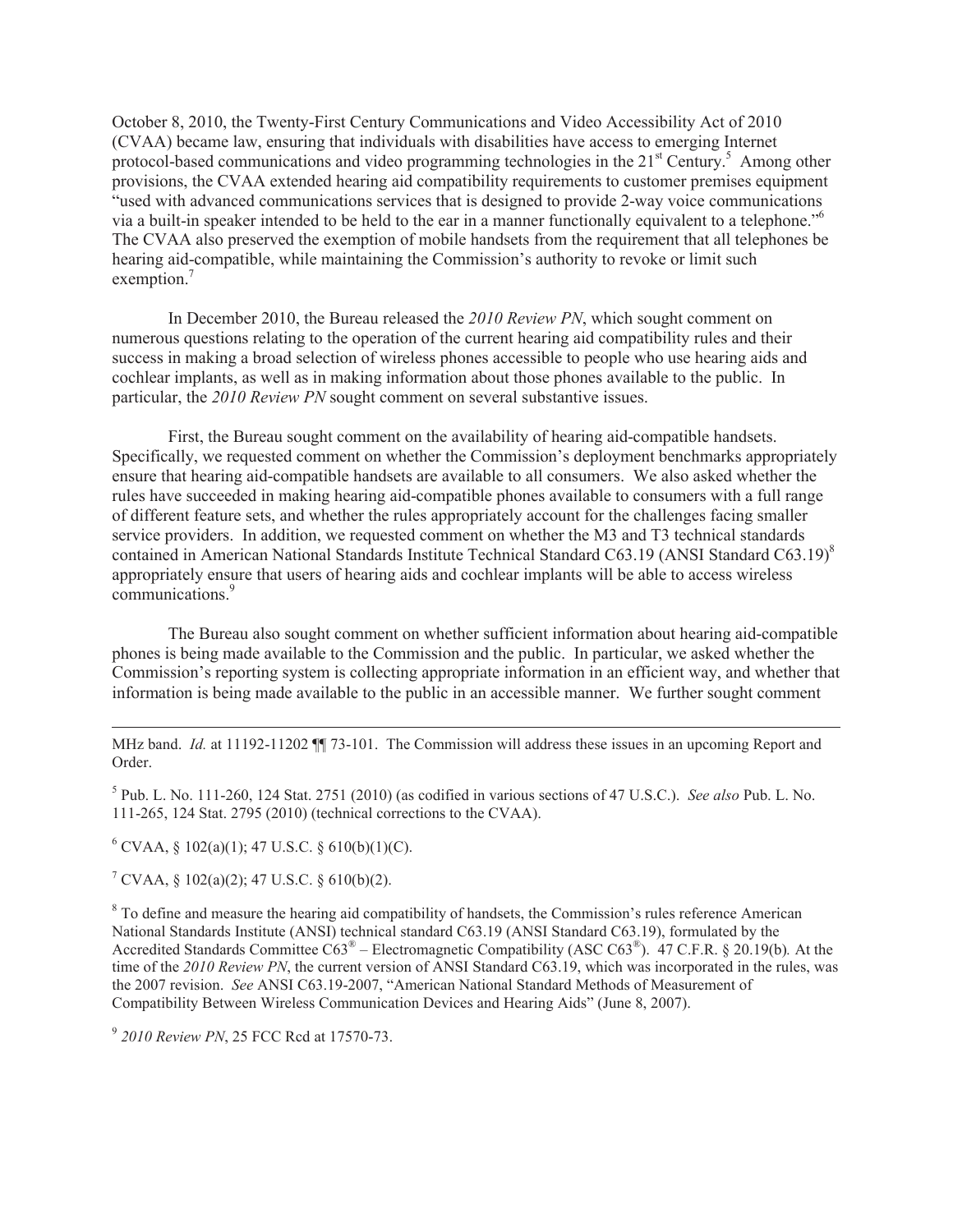October 8, 2010, the Twenty-First Century Communications and Video Accessibility Act of 2010 (CVAA) became law, ensuring that individuals with disabilities have access to emerging Internet protocol-based communications and video programming technologies in the 21<sup>st</sup> Century.<sup>5</sup> Among other provisions, the CVAA extended hearing aid compatibility requirements to customer premises equipment "used with advanced communications services that is designed to provide 2-way voice communications via a built-in speaker intended to be held to the ear in a manner functionally equivalent to a telephone."<sup>6</sup> The CVAA also preserved the exemption of mobile handsets from the requirement that all telephones be hearing aid-compatible, while maintaining the Commission's authority to revoke or limit such exemption.<sup>7</sup>

In December 2010, the Bureau released the *2010 Review PN*, which sought comment on numerous questions relating to the operation of the current hearing aid compatibility rules and their success in making a broad selection of wireless phones accessible to people who use hearing aids and cochlear implants, as well as in making information about those phones available to the public. In particular, the *2010 Review PN* sought comment on several substantive issues.

First, the Bureau sought comment on the availability of hearing aid-compatible handsets. Specifically, we requested comment on whether the Commission's deployment benchmarks appropriately ensure that hearing aid-compatible handsets are available to all consumers. We also asked whether the rules have succeeded in making hearing aid-compatible phones available to consumers with a full range of different feature sets, and whether the rules appropriately account for the challenges facing smaller service providers. In addition, we requested comment on whether the M3 and T3 technical standards contained in American National Standards Institute Technical Standard C63.19 (ANSI Standard C63.19)<sup>8</sup> appropriately ensure that users of hearing aids and cochlear implants will be able to access wireless communications.<sup>9</sup>

The Bureau also sought comment on whether sufficient information about hearing aid-compatible phones is being made available to the Commission and the public. In particular, we asked whether the Commission's reporting system is collecting appropriate information in an efficient way, and whether that information is being made available to the public in an accessible manner. We further sought comment

MHz band. *Id.* at 11192-11202  $\blacksquare$  73-101. The Commission will address these issues in an upcoming Report and Order.

5 Pub. L. No. 111-260, 124 Stat. 2751 (2010) (as codified in various sections of 47 U.S.C.). *See also* Pub. L. No. 111-265, 124 Stat. 2795 (2010) (technical corrections to the CVAA).

 $6$  CVAA,  $\frac{6}{9}$  102(a)(1); 47 U.S.C.  $\frac{6}{9}$  610(b)(1)(C).

 $7^7$  CVAA, § 102(a)(2); 47 U.S.C. § 610(b)(2).

 $\overline{a}$ 

<sup>8</sup> To define and measure the hearing aid compatibility of handsets, the Commission's rules reference American National Standards Institute (ANSI) technical standard C63.19 (ANSI Standard C63.19), formulated by the Accredited Standards Committee C63® – Electromagnetic Compatibility (ASC C63® ). 47 C.F.R. § 20.19(b)*.* At the time of the *2010 Review PN*, the current version of ANSI Standard C63.19, which was incorporated in the rules, was the 2007 revision. *See* ANSI C63.19-2007, "American National Standard Methods of Measurement of Compatibility Between Wireless Communication Devices and Hearing Aids" (June 8, 2007).

9 *2010 Review PN*, 25 FCC Rcd at 17570-73.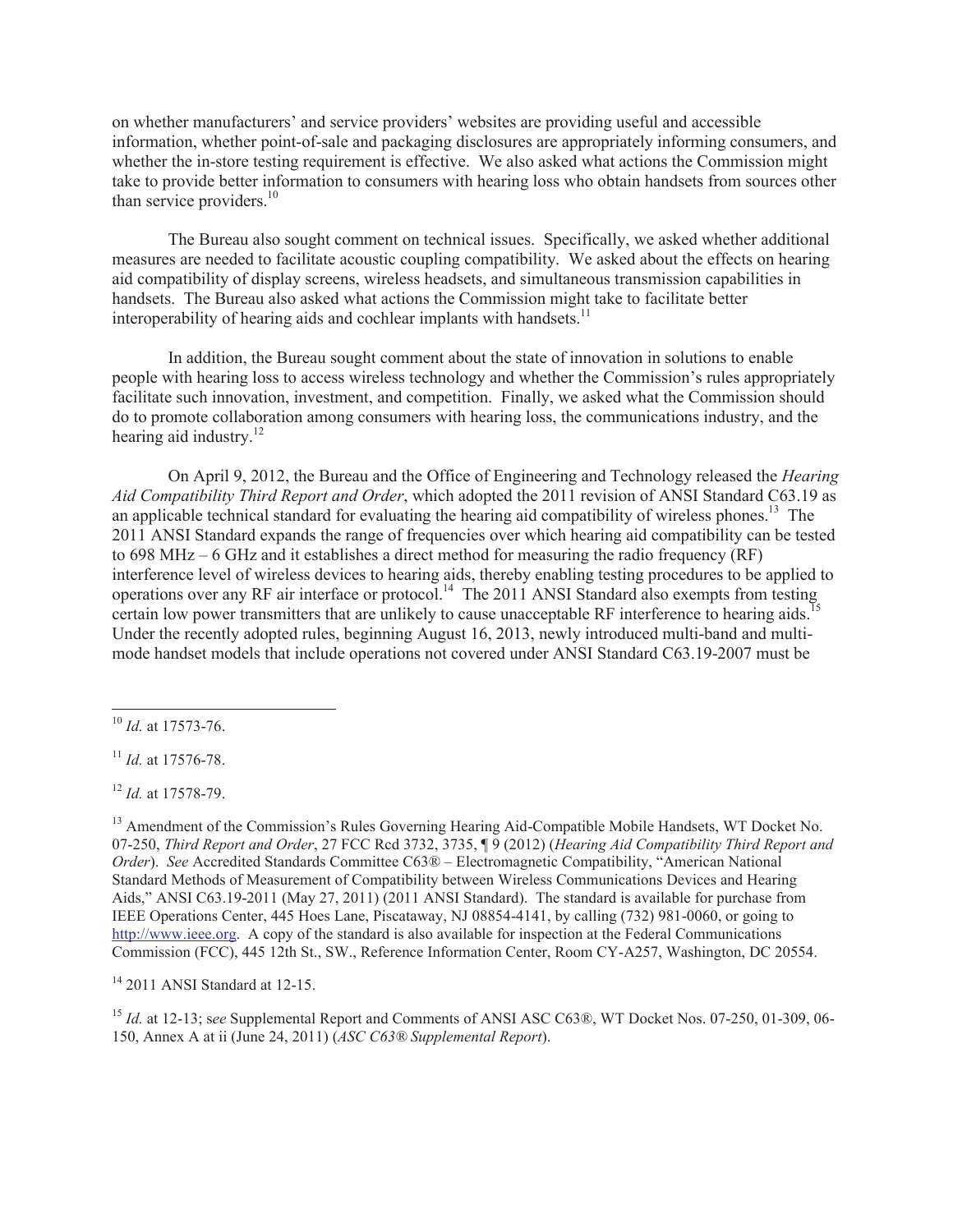on whether manufacturers' and service providers' websites are providing useful and accessible information, whether point-of-sale and packaging disclosures are appropriately informing consumers, and whether the in-store testing requirement is effective. We also asked what actions the Commission might take to provide better information to consumers with hearing loss who obtain handsets from sources other than service providers. $10<sup>10</sup>$ 

The Bureau also sought comment on technical issues. Specifically, we asked whether additional measures are needed to facilitate acoustic coupling compatibility. We asked about the effects on hearing aid compatibility of display screens, wireless headsets, and simultaneous transmission capabilities in handsets. The Bureau also asked what actions the Commission might take to facilitate better interoperability of hearing aids and cochlear implants with handsets.<sup>11</sup>

In addition, the Bureau sought comment about the state of innovation in solutions to enable people with hearing loss to access wireless technology and whether the Commission's rules appropriately facilitate such innovation, investment, and competition. Finally, we asked what the Commission should do to promote collaboration among consumers with hearing loss, the communications industry, and the hearing aid industry. $^{12}$ 

On April 9, 2012, the Bureau and the Office of Engineering and Technology released the *Hearing Aid Compatibility Third Report and Order*, which adopted the 2011 revision of ANSI Standard C63.19 as an applicable technical standard for evaluating the hearing aid compatibility of wireless phones.<sup>13</sup> The 2011 ANSI Standard expands the range of frequencies over which hearing aid compatibility can be tested to 698 MHz – 6 GHz and it establishes a direct method for measuring the radio frequency (RF) interference level of wireless devices to hearing aids, thereby enabling testing procedures to be applied to operations over any RF air interface or protocol.<sup>14</sup> The 2011 ANSI Standard also exempts from testing certain low power transmitters that are unlikely to cause unacceptable RF interference to hearing aids.<sup>1</sup> Under the recently adopted rules, beginning August 16, 2013, newly introduced multi-band and multimode handset models that include operations not covered under ANSI Standard C63.19-2007 must be

 $\overline{a}$ 

<sup>12</sup> *Id.* at 17578-79.

<sup>13</sup> Amendment of the Commission's Rules Governing Hearing Aid-Compatible Mobile Handsets, WT Docket No. 07-250, *Third Report and Order*, 27 FCC Rcd 3732, 3735, ¶ 9 (2012) (*Hearing Aid Compatibility Third Report and Order*). *See* Accredited Standards Committee C63® – Electromagnetic Compatibility, "American National Standard Methods of Measurement of Compatibility between Wireless Communications Devices and Hearing Aids," ANSI C63.19-2011 (May 27, 2011) (2011 ANSI Standard). The standard is available for purchase from IEEE Operations Center, 445 Hoes Lane, Piscataway, NJ 08854-4141, by calling (732) 981-0060, or going to http://www.ieee.org. A copy of the standard is also available for inspection at the Federal Communications Commission (FCC), 445 12th St., SW., Reference Information Center, Room CY-A257, Washington, DC 20554.

<sup>14</sup> 2011 ANSI Standard at 12-15.

<sup>15</sup> *Id.* at 12-13; see Supplemental Report and Comments of ANSI ASC C63®, WT Docket Nos. 07-250, 01-309, 06-150, Annex A at ii (June 24, 2011) (*ASC C63® Supplemental Report*).

<sup>10</sup> *Id.* at 17573-76.

<sup>11</sup> *Id.* at 17576-78.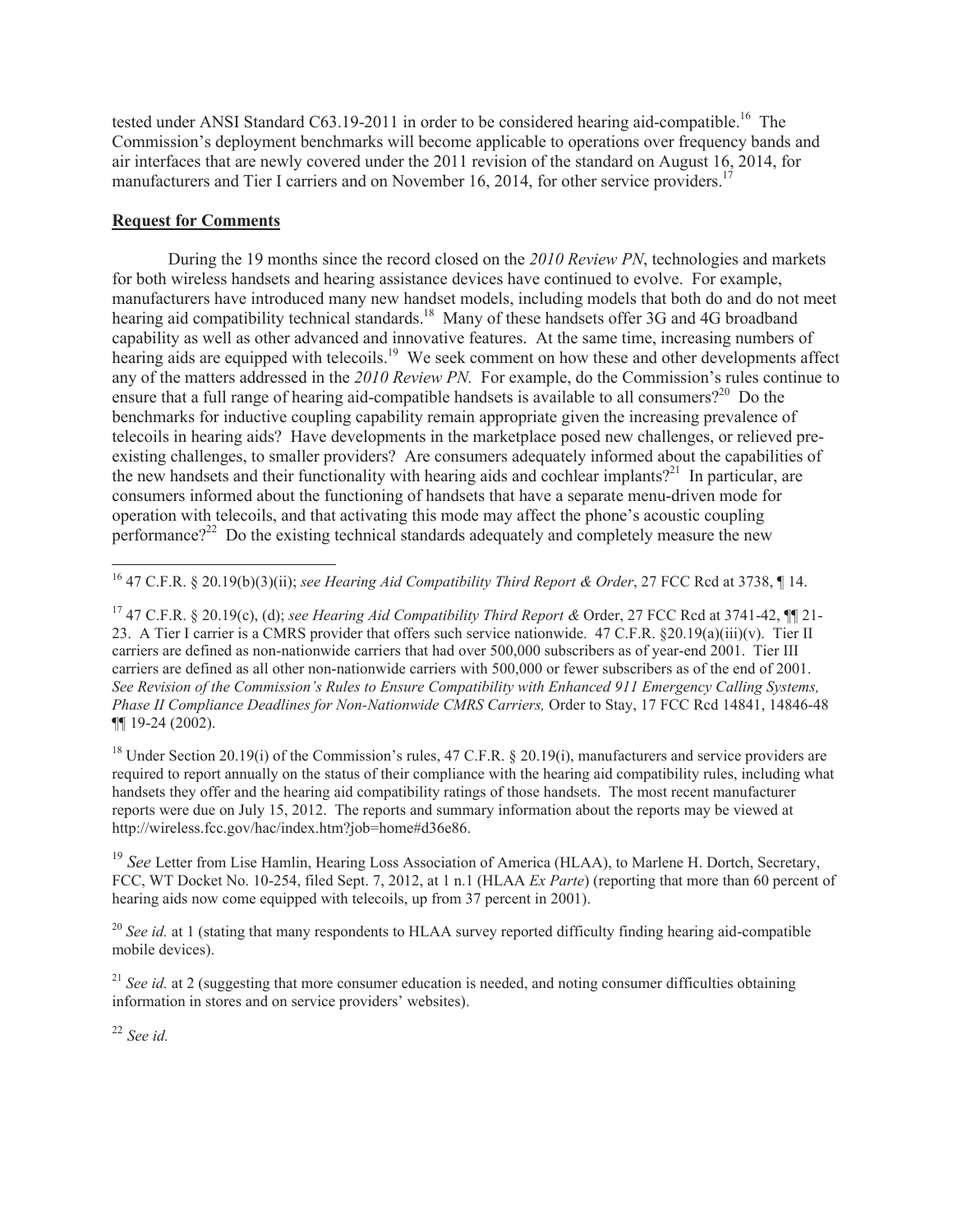tested under ANSI Standard  $C63.19-2011$  in order to be considered hearing aid-compatible.<sup>16</sup> The Commission's deployment benchmarks will become applicable to operations over frequency bands and air interfaces that are newly covered under the 2011 revision of the standard on August 16, 2014, for manufacturers and Tier I carriers and on November 16, 2014, for other service providers.<sup>1</sup>

## **Request for Comments**

During the 19 months since the record closed on the *2010 Review PN*, technologies and markets for both wireless handsets and hearing assistance devices have continued to evolve. For example, manufacturers have introduced many new handset models, including models that both do and do not meet hearing aid compatibility technical standards.<sup>18</sup> Many of these handsets offer 3G and 4G broadband capability as well as other advanced and innovative features. At the same time, increasing numbers of hearing aids are equipped with telecoils.<sup>19</sup> We seek comment on how these and other developments affect any of the matters addressed in the *2010 Review PN.* For example, do the Commission's rules continue to ensure that a full range of hearing aid-compatible handsets is available to all consumers?<sup>20</sup> Do the benchmarks for inductive coupling capability remain appropriate given the increasing prevalence of telecoils in hearing aids? Have developments in the marketplace posed new challenges, or relieved preexisting challenges, to smaller providers? Are consumers adequately informed about the capabilities of the new handsets and their functionality with hearing aids and cochlear implants?<sup>21</sup> In particular, are consumers informed about the functioning of handsets that have a separate menu-driven mode for operation with telecoils, and that activating this mode may affect the phone's acoustic coupling performance?<sup>22</sup> Do the existing technical standards adequately and completely measure the new

<sup>18</sup> Under Section 20.19(i) of the Commission's rules, 47 C.F.R. § 20.19(i), manufacturers and service providers are required to report annually on the status of their compliance with the hearing aid compatibility rules, including what handsets they offer and the hearing aid compatibility ratings of those handsets. The most recent manufacturer reports were due on July 15, 2012. The reports and summary information about the reports may be viewed at http://wireless.fcc.gov/hac/index.htm?job=home#d36e86.

<sup>19</sup> *See* Letter from Lise Hamlin, Hearing Loss Association of America (HLAA), to Marlene H. Dortch, Secretary, FCC, WT Docket No. 10-254, filed Sept. 7, 2012, at 1 n.1 (HLAA *Ex Parte*) (reporting that more than 60 percent of hearing aids now come equipped with telecoils, up from 37 percent in 2001).

<sup>20</sup> See id. at 1 (stating that many respondents to HLAA survey reported difficulty finding hearing aid-compatible mobile devices).

<sup>21</sup> *See id.* at 2 (suggesting that more consumer education is needed, and noting consumer difficulties obtaining information in stores and on service providers' websites).

<sup>22</sup> *See id.*

 $\overline{a}$ <sup>16</sup> 47 C.F.R. § 20.19(b)(3)(ii); *see Hearing Aid Compatibility Third Report & Order*, 27 FCC Rcd at 3738, ¶ 14.

<sup>17</sup> 47 C.F.R. § 20.19(c), (d); *see Hearing Aid Compatibility Third Report &* Order, 27 FCC Rcd at 3741-42, ¶¶ 21- 23. A Tier I carrier is a CMRS provider that offers such service nationwide. 47 C.F.R. §20.19(a)(iii)(v). Tier II carriers are defined as non-nationwide carriers that had over 500,000 subscribers as of year-end 2001. Tier III carriers are defined as all other non-nationwide carriers with 500,000 or fewer subscribers as of the end of 2001. *See Revision of the Commission's Rules to Ensure Compatibility with Enhanced 911 Emergency Calling Systems, Phase II Compliance Deadlines for Non-Nationwide CMRS Carriers, Order to Stay, 17 FCC Rcd 14841, 14846-48* ¶¶ 19-24 (2002).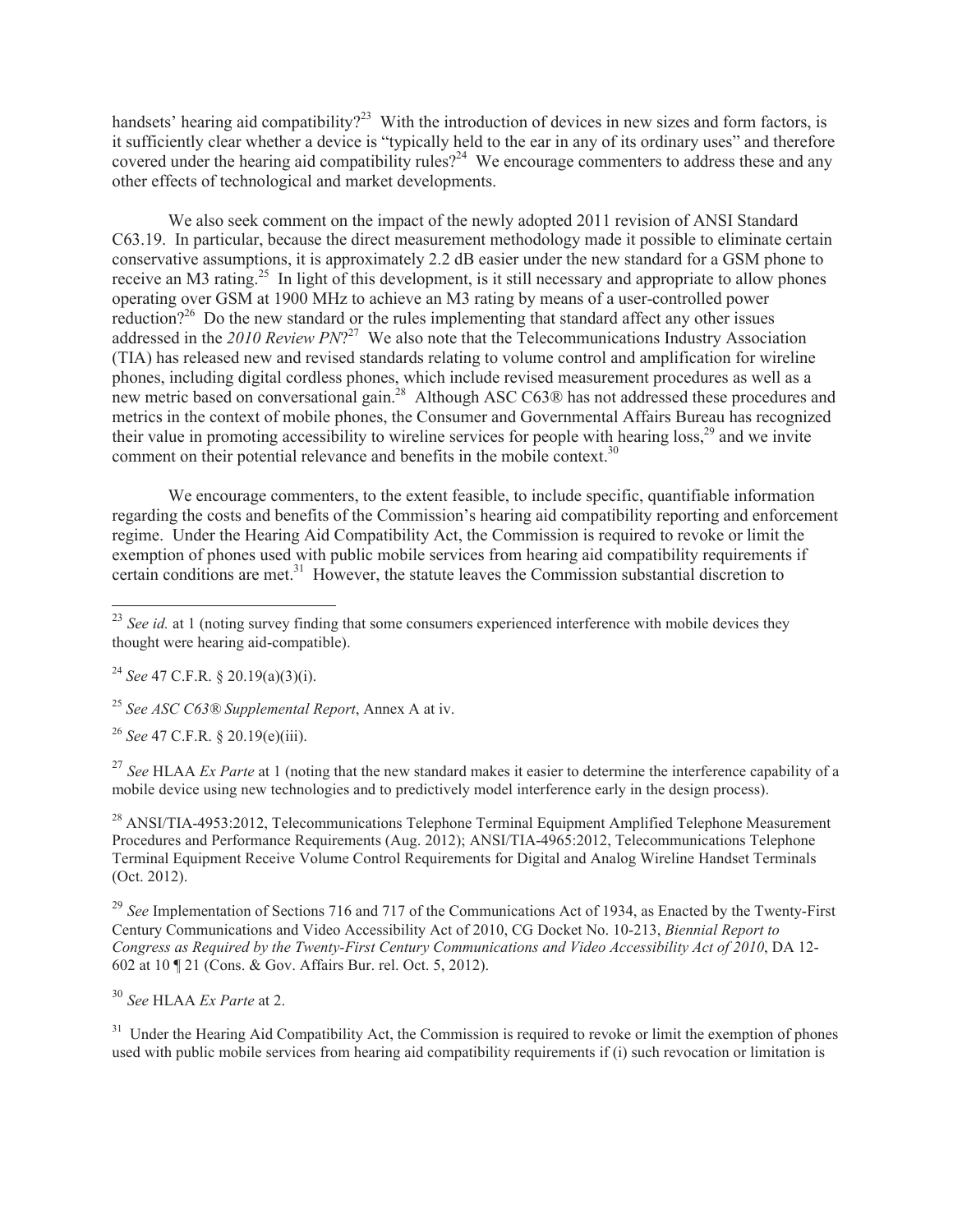handsets' hearing aid compatibility?<sup>23</sup> With the introduction of devices in new sizes and form factors, is it sufficiently clear whether a device is "typically held to the ear in any of its ordinary uses" and therefore covered under the hearing aid compatibility rules?<sup>24</sup> We encourage commenters to address these and any other effects of technological and market developments.

We also seek comment on the impact of the newly adopted 2011 revision of ANSI Standard C63.19. In particular, because the direct measurement methodology made it possible to eliminate certain conservative assumptions, it is approximately 2.2 dB easier under the new standard for a GSM phone to receive an M3 rating.<sup>25</sup> In light of this development, is it still necessary and appropriate to allow phones operating over GSM at 1900 MHz to achieve an M3 rating by means of a user-controlled power reduction?<sup>26</sup> Do the new standard or the rules implementing that standard affect any other issues addressed in the 2010 Review PN?<sup>27</sup> We also note that the Telecommunications Industry Association (TIA) has released new and revised standards relating to volume control and amplification for wireline phones, including digital cordless phones, which include revised measurement procedures as well as a new metric based on conversational gain.<sup>28</sup> Although ASC C63® has not addressed these procedures and metrics in the context of mobile phones, the Consumer and Governmental Affairs Bureau has recognized their value in promoting accessibility to wireline services for people with hearing loss,<sup>29</sup> and we invite comment on their potential relevance and benefits in the mobile context.<sup>30</sup>

We encourage commenters, to the extent feasible, to include specific, quantifiable information regarding the costs and benefits of the Commission's hearing aid compatibility reporting and enforcement regime. Under the Hearing Aid Compatibility Act, the Commission is required to revoke or limit the exemption of phones used with public mobile services from hearing aid compatibility requirements if certain conditions are met.<sup>31</sup> However, the statute leaves the Commission substantial discretion to

<sup>24</sup> *See* 47 C.F.R. § 20.19(a)(3)(i).

 $\overline{a}$ 

<sup>25</sup> *See ASC C63® Supplemental Report*, Annex A at iv.

<sup>26</sup> *See* 47 C.F.R. § 20.19(e)(iii).

<sup>27</sup> See HLAA *Ex Parte* at 1 (noting that the new standard makes it easier to determine the interference capability of a mobile device using new technologies and to predictively model interference early in the design process).

<sup>28</sup> ANSI/TIA-4953:2012, Telecommunications Telephone Terminal Equipment Amplified Telephone Measurement Procedures and Performance Requirements (Aug. 2012); ANSI/TIA-4965:2012, Telecommunications Telephone Terminal Equipment Receive Volume Control Requirements for Digital and Analog Wireline Handset Terminals (Oct. 2012).

<sup>29</sup> See Implementation of Sections 716 and 717 of the Communications Act of 1934, as Enacted by the Twenty-First Century Communications and Video Accessibility Act of 2010, CG Docket No. 10-213, *Biennial Report to Congress as Required by the Twenty-First Century Communications and Video Accessibility Act of 2010*, DA 12- 602 at 10 ¶ 21 (Cons. & Gov. Affairs Bur. rel. Oct. 5, 2012).

<sup>30</sup> *See* HLAA *Ex Parte* at 2.

<sup>31</sup> Under the Hearing Aid Compatibility Act, the Commission is required to revoke or limit the exemption of phones used with public mobile services from hearing aid compatibility requirements if (i) such revocation or limitation is

<sup>&</sup>lt;sup>23</sup> *See id.* at 1 (noting survey finding that some consumers experienced interference with mobile devices they thought were hearing aid-compatible).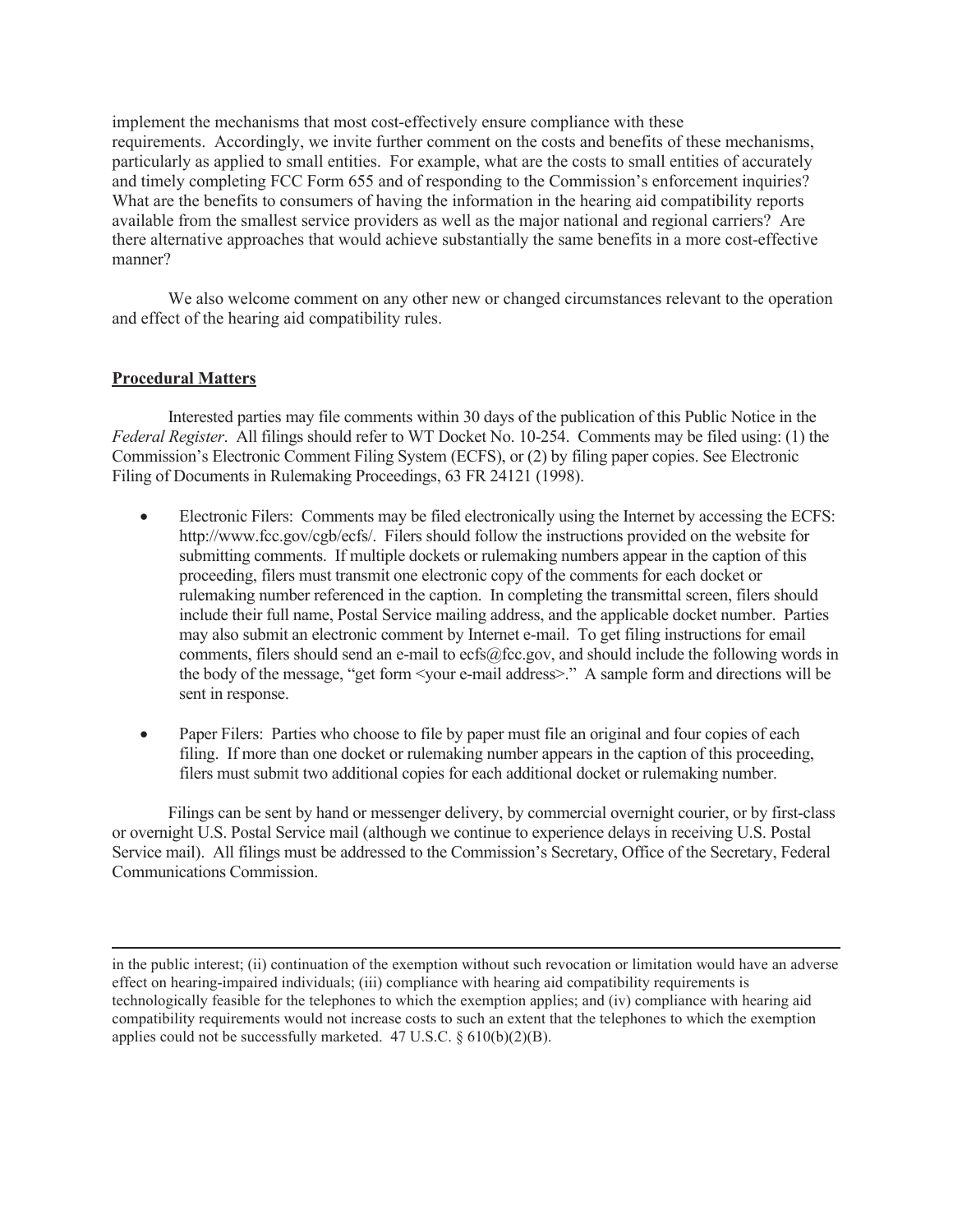implement the mechanisms that most cost-effectively ensure compliance with these requirements. Accordingly, we invite further comment on the costs and benefits of these mechanisms, particularly as applied to small entities. For example, what are the costs to small entities of accurately and timely completing FCC Form 655 and of responding to the Commission's enforcement inquiries? What are the benefits to consumers of having the information in the hearing aid compatibility reports available from the smallest service providers as well as the major national and regional carriers? Are there alternative approaches that would achieve substantially the same benefits in a more cost-effective manner?

We also welcome comment on any other new or changed circumstances relevant to the operation and effect of the hearing aid compatibility rules.

## **Procedural Matters**

 $\overline{a}$ 

Interested parties may file comments within 30 days of the publication of this Public Notice in the *Federal Register*. All filings should refer to WT Docket No. 10-254. Comments may be filed using: (1) the Commission's Electronic Comment Filing System (ECFS), or (2) by filing paper copies. See Electronic Filing of Documents in Rulemaking Proceedings, 63 FR 24121 (1998).

- Electronic Filers: Comments may be filed electronically using the Internet by accessing the ECFS: http://www.fcc.gov/cgb/ecfs/. Filers should follow the instructions provided on the website for submitting comments. If multiple dockets or rulemaking numbers appear in the caption of this proceeding, filers must transmit one electronic copy of the comments for each docket or rulemaking number referenced in the caption. In completing the transmittal screen, filers should include their full name, Postal Service mailing address, and the applicable docket number. Parties may also submit an electronic comment by Internet e-mail. To get filing instructions for email comments, filers should send an e-mail to ecfs@fcc.gov, and should include the following words in the body of the message, "get form <your e-mail address>." A sample form and directions will be sent in response.
- Paper Filers: Parties who choose to file by paper must file an original and four copies of each filing. If more than one docket or rulemaking number appears in the caption of this proceeding, filers must submit two additional copies for each additional docket or rulemaking number.

Filings can be sent by hand or messenger delivery, by commercial overnight courier, or by first-class or overnight U.S. Postal Service mail (although we continue to experience delays in receiving U.S. Postal Service mail). All filings must be addressed to the Commission's Secretary, Office of the Secretary, Federal Communications Commission.

in the public interest; (ii) continuation of the exemption without such revocation or limitation would have an adverse effect on hearing-impaired individuals; (iii) compliance with hearing aid compatibility requirements is technologically feasible for the telephones to which the exemption applies; and (iv) compliance with hearing aid compatibility requirements would not increase costs to such an extent that the telephones to which the exemption applies could not be successfully marketed. 47 U.S.C.  $\S 610(b)(2)(B)$ .